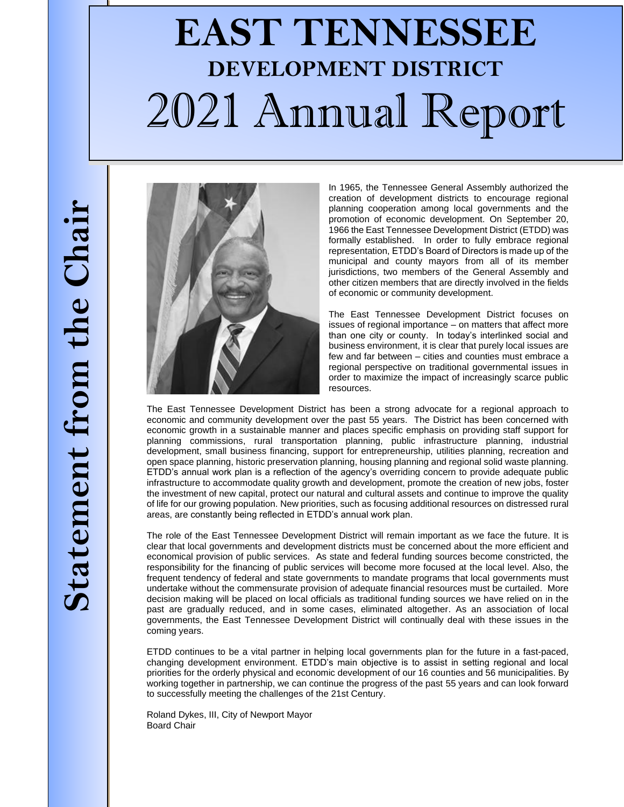# **EAST TENNESSEE DEVELOPMENT DISTRICT** 2021 Annual Report



In 1965, the Tennessee General Assembly authorized the creation of development districts to encourage regional planning cooperation among local governments and the promotion of economic development. On September 20, 1966 the East Tennessee Development District (ETDD) was formally established. In order to fully embrace regional representation, ETDD's Board of Directors is made up of the municipal and county mayors from all of its member jurisdictions, two members of the General Assembly and other citizen members that are directly involved in the fields of economic or community development.

The East Tennessee Development District focuses on issues of regional importance – on matters that affect more than one city or county. In today's interlinked social and business environment, it is clear that purely local issues are few and far between – cities and counties must embrace a regional perspective on traditional governmental issues in order to maximize the impact of increasingly scarce public resources.

The East Tennessee Development District has been a strong advocate for a regional approach to economic and community development over the past 55 years. The District has been concerned with economic growth in a sustainable manner and places specific emphasis on providing staff support for planning commissions, rural transportation planning, public infrastructure planning, industrial development, small business financing, support for entrepreneurship, utilities planning, recreation and open space planning, historic preservation planning, housing planning and regional solid waste planning. ETDD's annual work plan is a reflection of the agency's overriding concern to provide adequate public infrastructure to accommodate quality growth and development, promote the creation of new jobs, foster the investment of new capital, protect our natural and cultural assets and continue to improve the quality of life for our growing population. New priorities, such as focusing additional resources on distressed rural areas, are constantly being reflected in ETDD's annual work plan.

The role of the East Tennessee Development District will remain important as we face the future. It is clear that local governments and development districts must be concerned about the more efficient and economical provision of public services. As state and federal funding sources become constricted, the responsibility for the financing of public services will become more focused at the local level. Also, the frequent tendency of federal and state governments to mandate programs that local governments must undertake without the commensurate provision of adequate financial resources must be curtailed. More decision making will be placed on local officials as traditional funding sources we have relied on in the past are gradually reduced, and in some cases, eliminated altogether. As an association of local governments, the East Tennessee Development District will continually deal with these issues in the coming years.

ETDD continues to be a vital partner in helping local governments plan for the future in a fast-paced, changing development environment. ETDD's main objective is to assist in setting regional and local priorities for the orderly physical and economic development of our 16 counties and 56 municipalities. By working together in partnership, we can continue the progress of the past 55 years and can look forward to successfully meeting the challenges of the 21st Century.

Roland Dykes, III, City of Newport Mayor Board Chair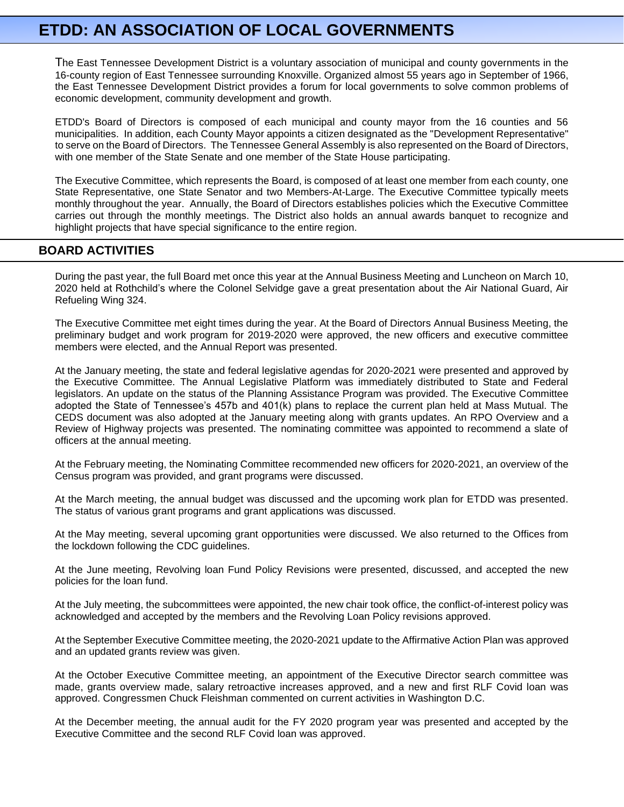# **ETDD: AN ASSOCIATION OF LOCAL GOVERNMENTS**

The East Tennessee Development District is a voluntary association of municipal and county governments in the 16-county region of East Tennessee surrounding Knoxville. Organized almost 55 years ago in September of 1966, the East Tennessee Development District provides a forum for local governments to solve common problems of economic development, community development and growth.

ETDD's Board of Directors is composed of each municipal and county mayor from the 16 counties and 56 municipalities. In addition, each County Mayor appoints a citizen designated as the "Development Representative" to serve on the Board of Directors. The Tennessee General Assembly is also represented on the Board of Directors, with one member of the State Senate and one member of the State House participating.

The Executive Committee, which represents the Board, is composed of at least one member from each county, one State Representative, one State Senator and two Members-At-Large. The Executive Committee typically meets monthly throughout the year. Annually, the Board of Directors establishes policies which the Executive Committee carries out through the monthly meetings. The District also holds an annual awards banquet to recognize and highlight projects that have special significance to the entire region.

# **BOARD ACTIVITIES**

During the past year, the full Board met once this year at the Annual Business Meeting and Luncheon on March 10, 2020 held at Rothchild's where the Colonel Selvidge gave a great presentation about the Air National Guard, Air Refueling Wing 324.

The Executive Committee met eight times during the year. At the Board of Directors Annual Business Meeting, the preliminary budget and work program for 2019-2020 were approved, the new officers and executive committee members were elected, and the Annual Report was presented.

At the January meeting, the state and federal legislative agendas for 2020-2021 were presented and approved by the Executive Committee. The Annual Legislative Platform was immediately distributed to State and Federal legislators. An update on the status of the Planning Assistance Program was provided. The Executive Committee adopted the State of Tennessee's 457b and 401(k) plans to replace the current plan held at Mass Mutual. The CEDS document was also adopted at the January meeting along with grants updates. An RPO Overview and a Review of Highway projects was presented. The nominating committee was appointed to recommend a slate of officers at the annual meeting.

At the February meeting, the Nominating Committee recommended new officers for 2020-2021, an overview of the Census program was provided, and grant programs were discussed.

At the March meeting, the annual budget was discussed and the upcoming work plan for ETDD was presented. The status of various grant programs and grant applications was discussed.

At the May meeting, several upcoming grant opportunities were discussed. We also returned to the Offices from the lockdown following the CDC guidelines.

At the June meeting, Revolving loan Fund Policy Revisions were presented, discussed, and accepted the new policies for the loan fund.

At the July meeting, the subcommittees were appointed, the new chair took office, the conflict-of-interest policy was acknowledged and accepted by the members and the Revolving Loan Policy revisions approved.

At the September Executive Committee meeting, the 2020-2021 update to the Affirmative Action Plan was approved and an updated grants review was given.

At the October Executive Committee meeting, an appointment of the Executive Director search committee was made, grants overview made, salary retroactive increases approved, and a new and first RLF Covid loan was approved. Congressmen Chuck Fleishman commented on current activities in Washington D.C.

At the December meeting, the annual audit for the FY 2020 program year was presented and accepted by the Executive Committee and the second RLF Covid loan was approved.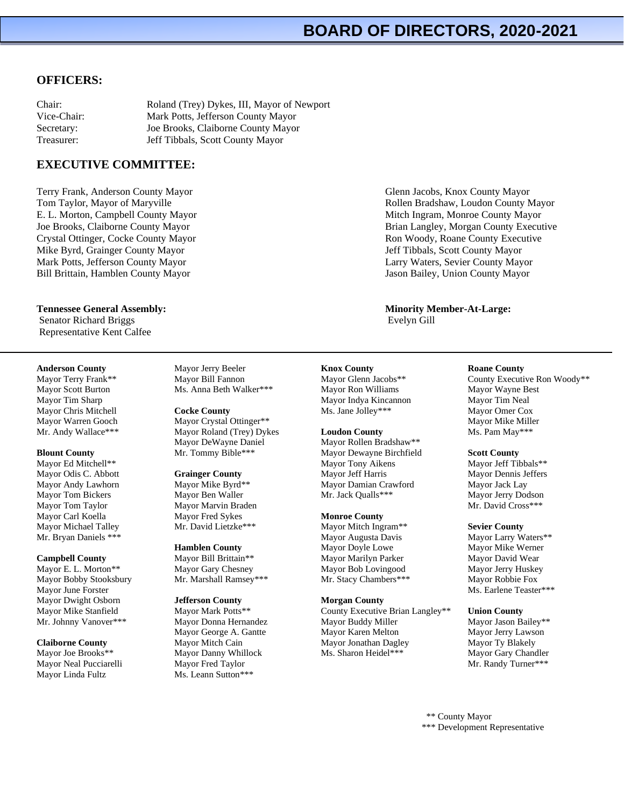# **BOARD OF DIRECTORS, 2020-2021**

#### **OFFICERS:**

| Chair:      | Roland (Trey) Dykes, III, Mayor of Newport |
|-------------|--------------------------------------------|
| Vice-Chair: | Mark Potts, Jefferson County Mayor         |
| Secretary:  | Joe Brooks, Claiborne County Mayor         |
| Treasurer:  | Jeff Tibbals, Scott County Mayor           |

## **EXECUTIVE COMMITTEE:**

Terry Frank, Anderson County Mayor Tom Taylor, Mayor of Maryville E. L. Morton, Campbell County Mayor Joe Brooks, Claiborne County Mayor Crystal Ottinger, Cocke County Mayor Mike Byrd, Grainger County Mayor Mark Potts, Jefferson County Mayor Bill Brittain, Hamblen County Mayor

#### **Tennessee General Assembly:**

Senator Richard Briggs Representative Kent Calfee

#### **Anderson County**

Mayor Terry Frank\*\* Mayor Scott Burton Mayor Tim Sharp Mayor Chris Mitchell Mayor Warren Gooch Mr. Andy Wallace\*\*\*

#### **Blount County**

Mayor Ed Mitchell\*\* Mayor Odis C. Abbott Mayor Andy Lawhorn Mayor Tom Bickers Mayor Tom Taylor Mayor Carl Koella Mayor Michael Talley Mr. Bryan Daniels \*\*\*

#### **Campbell County**

Mayor E. L. Morton\*\* Mayor Bobby Stooksbury Mayor June Forster Mayor Dwight Osborn Mayor Mike Stanfield Mr. Johnny Vanover\*\*\*

**Claiborne County** Mayor Joe Brooks\*\* Mayor Neal Pucciarelli Mayor Linda Fultz

Mayor Jerry Beeler Mayor Bill Fannon Ms. Anna Beth Walker\*\*\*

**Cocke County** Mayor Crystal Ottinger\*\* Mayor Roland (Trey) Dykes Mayor DeWayne Daniel Mr. Tommy Bible\*\*\*

#### **Grainger County** Mayor Mike Byrd\*\* Mayor Ben Waller Mayor Marvin Braden Mayor Fred Sykes Mr. David Lietzke\*\*\*

**Hamblen County** Mayor Bill Brittain\*\* Mayor Gary Chesney Mr. Marshall Ramsey\*\*\*

#### **Jefferson County**

Mayor Mark Potts\*\* Mayor Donna Hernandez Mayor George A. Gantte Mayor Mitch Cain Mayor Danny Whillock Mayor Fred Taylor Ms. Leann Sutton\*\*\*

Glenn Jacobs, Knox County Mayor Rollen Bradshaw, Loudon County Mayor Mitch Ingram, Monroe County Mayor Brian Langley, Morgan County Executive Ron Woody, Roane County Executive Jeff Tibbals, Scott County Mayor Larry Waters, Sevier County Mayor Jason Bailey, Union County Mayor

#### **Minority Member-At-Large:** Evelyn Gill

#### **Knox County**

Mayor Glenn Jacobs\*\* Mayor Ron Williams Mayor Indya Kincannon Ms. Jane Jolley\*\*\*

#### **Loudon County**

Mayor Rollen Bradshaw\*\* Mayor Dewayne Birchfield Mayor Tony Aikens Mayor Jeff Harris Mayor Damian Crawford Mr. Jack Qualls\*\*\*

#### **Monroe County**

Mayor Mitch Ingram\*\* Mayor Augusta Davis Mayor Doyle Lowe Mayor Marilyn Parker Mayor Bob Lovingood Mr. Stacy Chambers\*\*\*

#### **Morgan County**

County Executive Brian Langley\*\* Mayor Buddy Miller Mayor Karen Melton Mayor Jonathan Dagley Ms. Sharon Heidel\*\*\*

#### **Roane County**

County Executive Ron Woody\*\* Mayor Wayne Best Mayor Tim Neal Mayor Omer Cox Mayor Mike Miller Ms. Pam May\*\*\*

#### **Scott County**

Mayor Jeff Tibbals\*\* Mayor Dennis Jeffers Mayor Jack Lay Mayor Jerry Dodson Mr. David Cross\*\*\*

#### **Sevier County**

Mayor Larry Waters\*\* Mayor Mike Werner Mayor David Wear Mayor Jerry Huskey Mayor Robbie Fox Ms. Earlene Teaster\*\*\*

#### **Union County**

Mayor Jason Bailey\*\* Mayor Jerry Lawson Mayor Ty Blakely Mayor Gary Chandler Mr. Randy Turner\*\*\*

 \*\* County Mayor \*\*\* Development Representative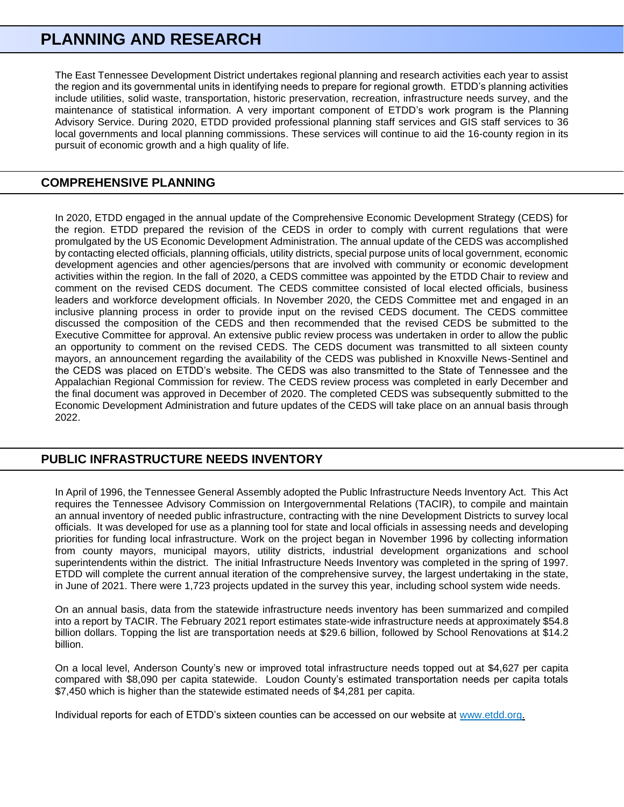# **PLANNING AND RESEARCH**

The East Tennessee Development District undertakes regional planning and research activities each year to assist the region and its governmental units in identifying needs to prepare for regional growth. ETDD's planning activities include utilities, solid waste, transportation, historic preservation, recreation, infrastructure needs survey, and the maintenance of statistical information. A very important component of ETDD's work program is the Planning Advisory Service. During 2020, ETDD provided professional planning staff services and GIS staff services to 36 local governments and local planning commissions. These services will continue to aid the 16-county region in its pursuit of economic growth and a high quality of life.

# **COMPREHENSIVE PLANNING**

In 2020, ETDD engaged in the annual update of the Comprehensive Economic Development Strategy (CEDS) for the region. ETDD prepared the revision of the CEDS in order to comply with current regulations that were promulgated by the US Economic Development Administration. The annual update of the CEDS was accomplished by contacting elected officials, planning officials, utility districts, special purpose units of local government, economic development agencies and other agencies/persons that are involved with community or economic development activities within the region. In the fall of 2020, a CEDS committee was appointed by the ETDD Chair to review and comment on the revised CEDS document. The CEDS committee consisted of local elected officials, business leaders and workforce development officials. In November 2020, the CEDS Committee met and engaged in an inclusive planning process in order to provide input on the revised CEDS document. The CEDS committee discussed the composition of the CEDS and then recommended that the revised CEDS be submitted to the Executive Committee for approval. An extensive public review process was undertaken in order to allow the public an opportunity to comment on the revised CEDS. The CEDS document was transmitted to all sixteen county mayors, an announcement regarding the availability of the CEDS was published in Knoxville News-Sentinel and the CEDS was placed on ETDD's website. The CEDS was also transmitted to the State of Tennessee and the Appalachian Regional Commission for review. The CEDS review process was completed in early December and the final document was approved in December of 2020. The completed CEDS was subsequently submitted to the Economic Development Administration and future updates of the CEDS will take place on an annual basis through 2022.

# **PUBLIC INFRASTRUCTURE NEEDS INVENTORY**

In April of 1996, the Tennessee General Assembly adopted the Public Infrastructure Needs Inventory Act. This Act requires the Tennessee Advisory Commission on Intergovernmental Relations (TACIR), to compile and maintain an annual inventory of needed public infrastructure, contracting with the nine Development Districts to survey local officials. It was developed for use as a planning tool for state and local officials in assessing needs and developing priorities for funding local infrastructure. Work on the project began in November 1996 by collecting information from county mayors, municipal mayors, utility districts, industrial development organizations and school superintendents within the district. The initial Infrastructure Needs Inventory was completed in the spring of 1997. ETDD will complete the current annual iteration of the comprehensive survey, the largest undertaking in the state, in June of 2021. There were 1,723 projects updated in the survey this year, including school system wide needs.

On an annual basis, data from the statewide infrastructure needs inventory has been summarized and compiled into a report by TACIR. The February 2021 report estimates state-wide infrastructure needs at approximately \$54.8 billion dollars. Topping the list are transportation needs at \$29.6 billion, followed by School Renovations at \$14.2 billion.

On a local level, Anderson County's new or improved total infrastructure needs topped out at \$4,627 per capita compared with \$8,090 per capita statewide. Loudon County's estimated transportation needs per capita totals \$7,450 which is higher than the statewide estimated needs of \$4,281 per capita.

Individual reports for each of ETDD's sixteen counties can be accessed on our website at [www.etdd.org.](http://www.etdd.org/)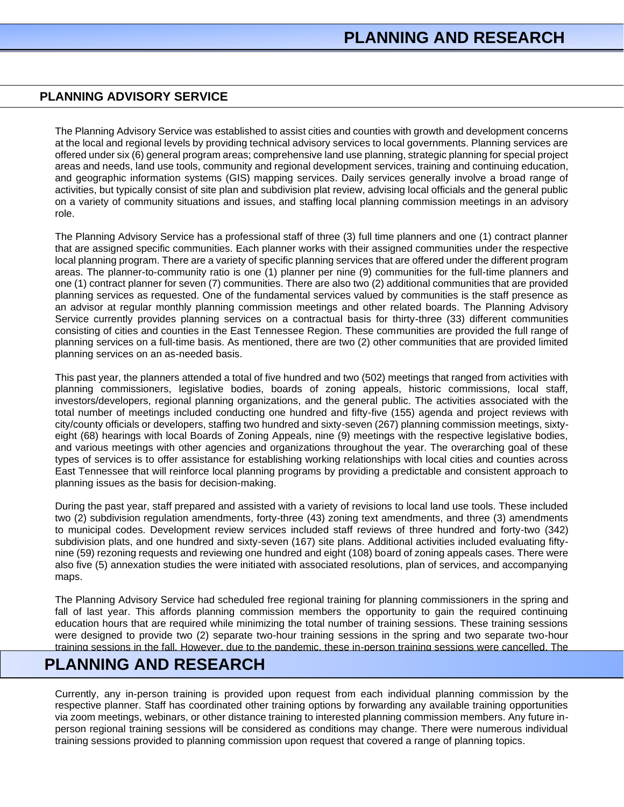## **PLANNING ADVISORY SERVICE**

The Planning Advisory Service was established to assist cities and counties with growth and development concerns at the local and regional levels by providing technical advisory services to local governments. Planning services are offered under six (6) general program areas; comprehensive land use planning, strategic planning for special project areas and needs, land use tools, community and regional development services, training and continuing education, and geographic information systems (GIS) mapping services. Daily services generally involve a broad range of activities, but typically consist of site plan and subdivision plat review, advising local officials and the general public on a variety of community situations and issues, and staffing local planning commission meetings in an advisory role.

The Planning Advisory Service has a professional staff of three (3) full time planners and one (1) contract planner that are assigned specific communities. Each planner works with their assigned communities under the respective local planning program. There are a variety of specific planning services that are offered under the different program areas. The planner-to-community ratio is one (1) planner per nine (9) communities for the full-time planners and one (1) contract planner for seven (7) communities. There are also two (2) additional communities that are provided planning services as requested. One of the fundamental services valued by communities is the staff presence as an advisor at regular monthly planning commission meetings and other related boards. The Planning Advisory Service currently provides planning services on a contractual basis for thirty-three (33) different communities consisting of cities and counties in the East Tennessee Region. These communities are provided the full range of planning services on a full-time basis. As mentioned, there are two (2) other communities that are provided limited planning services on an as-needed basis.

This past year, the planners attended a total of five hundred and two (502) meetings that ranged from activities with planning commissioners, legislative bodies, boards of zoning appeals, historic commissions, local staff, investors/developers, regional planning organizations, and the general public. The activities associated with the total number of meetings included conducting one hundred and fifty-five (155) agenda and project reviews with city/county officials or developers, staffing two hundred and sixty-seven (267) planning commission meetings, sixtyeight (68) hearings with local Boards of Zoning Appeals, nine (9) meetings with the respective legislative bodies, and various meetings with other agencies and organizations throughout the year. The overarching goal of these types of services is to offer assistance for establishing working relationships with local cities and counties across East Tennessee that will reinforce local planning programs by providing a predictable and consistent approach to planning issues as the basis for decision-making.

During the past year, staff prepared and assisted with a variety of revisions to local land use tools. These included two (2) subdivision regulation amendments, forty-three (43) zoning text amendments, and three (3) amendments to municipal codes. Development review services included staff reviews of three hundred and forty-two (342) subdivision plats, and one hundred and sixty-seven (167) site plans. Additional activities included evaluating fiftynine (59) rezoning requests and reviewing one hundred and eight (108) board of zoning appeals cases. There were also five (5) annexation studies the were initiated with associated resolutions, plan of services, and accompanying maps.

The Planning Advisory Service had scheduled free regional training for planning commissioners in the spring and fall of last year. This affords planning commission members the opportunity to gain the required continuing education hours that are required while minimizing the total number of training sessions. These training sessions were designed to provide two (2) separate two-hour training sessions in the spring and two separate two-hour training sessions in the fall. However, due to the pandemic, these in-person training sessions were cancelled. The

#### topics for future training sessions will include the same general format with general planning and private property rights covered in the spring and specialty topics related to planning covered in the fall. **PLANNING AND RESEARCH**

Currently, any in-person training is provided upon request from each individual planning commission by the respective planner. Staff has coordinated other training options by forwarding any available training opportunities via zoom meetings, webinars, or other distance training to interested planning commission members. Any future inperson regional training sessions will be considered as conditions may change. There were numerous individual training sessions provided to planning commission upon request that covered a range of planning topics.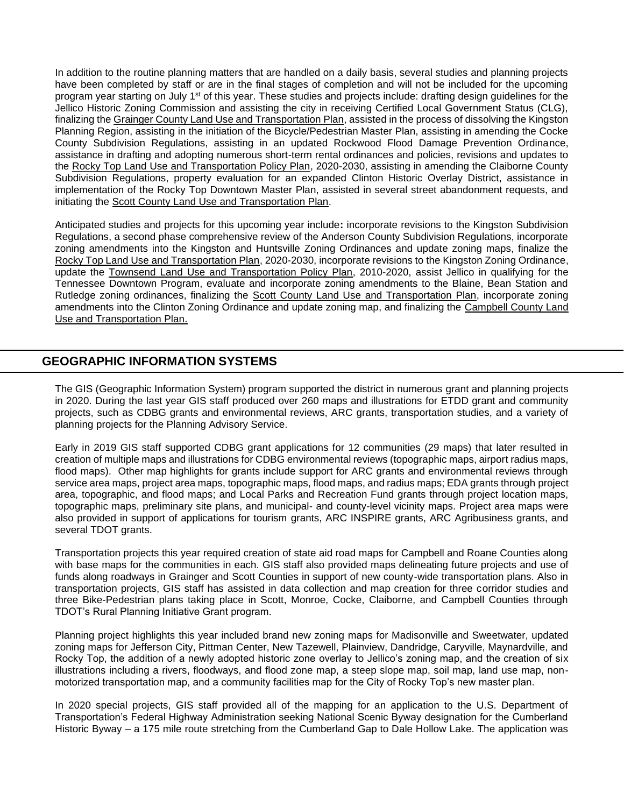In addition to the routine planning matters that are handled on a daily basis, several studies and planning projects have been completed by staff or are in the final stages of completion and will not be included for the upcoming program year starting on July 1st of this year. These studies and projects include: drafting design guidelines for the Jellico Historic Zoning Commission and assisting the city in receiving Certified Local Government Status (CLG), finalizing the Grainger County Land Use and Transportation Plan, assisted in the process of dissolving the Kingston Planning Region, assisting in the initiation of the Bicycle/Pedestrian Master Plan, assisting in amending the Cocke County Subdivision Regulations, assisting in an updated Rockwood Flood Damage Prevention Ordinance, assistance in drafting and adopting numerous short-term rental ordinances and policies, revisions and updates to the Rocky Top Land Use and Transportation Policy Plan, 2020-2030, assisting in amending the Claiborne County Subdivision Regulations, property evaluation for an expanded Clinton Historic Overlay District, assistance in implementation of the Rocky Top Downtown Master Plan, assisted in several street abandonment requests, and initiating the Scott County Land Use and Transportation Plan.

Anticipated studies and projects for this upcoming year include**:** incorporate revisions to the Kingston Subdivision Regulations, a second phase comprehensive review of the Anderson County Subdivision Regulations, incorporate zoning amendments into the Kingston and Huntsville Zoning Ordinances and update zoning maps, finalize the Rocky Top Land Use and Transportation Plan, 2020-2030, incorporate revisions to the Kingston Zoning Ordinance, update the Townsend Land Use and Transportation Policy Plan, 2010-2020, assist Jellico in qualifying for the Tennessee Downtown Program, evaluate and incorporate zoning amendments to the Blaine, Bean Station and Rutledge zoning ordinances, finalizing the Scott County Land Use and Transportation Plan, incorporate zoning amendments into the Clinton Zoning Ordinance and update zoning map, and finalizing the Campbell County Land Use and Transportation Plan.

# **GEOGRAPHIC INFORMATION SYSTEMS**

The GIS (Geographic Information System) program supported the district in numerous grant and planning projects in 2020. During the last year GIS staff produced over 260 maps and illustrations for ETDD grant and community projects, such as CDBG grants and environmental reviews, ARC grants, transportation studies, and a variety of planning projects for the Planning Advisory Service.

Early in 2019 GIS staff supported CDBG grant applications for 12 communities (29 maps) that later resulted in creation of multiple maps and illustrations for CDBG environmental reviews (topographic maps, airport radius maps, flood maps). Other map highlights for grants include support for ARC grants and environmental reviews through service area maps, project area maps, topographic maps, flood maps, and radius maps; EDA grants through project area, topographic, and flood maps; and Local Parks and Recreation Fund grants through project location maps, topographic maps, preliminary site plans, and municipal- and county-level vicinity maps. Project area maps were also provided in support of applications for tourism grants, ARC INSPIRE grants, ARC Agribusiness grants, and several TDOT grants.

Transportation projects this year required creation of state aid road maps for Campbell and Roane Counties along with base maps for the communities in each. GIS staff also provided maps delineating future projects and use of funds along roadways in Grainger and Scott Counties in support of new county-wide transportation plans. Also in transportation projects, GIS staff has assisted in data collection and map creation for three corridor studies and three Bike-Pedestrian plans taking place in Scott, Monroe, Cocke, Claiborne, and Campbell Counties through TDOT's Rural Planning Initiative Grant program.

Planning project highlights this year included brand new zoning maps for Madisonville and Sweetwater, updated zoning maps for Jefferson City, Pittman Center, New Tazewell, Plainview, Dandridge, Caryville, Maynardville, and Rocky Top, the addition of a newly adopted historic zone overlay to Jellico's zoning map, and the creation of six illustrations including a rivers, floodways, and flood zone map, a steep slope map, soil map, land use map, nonmotorized transportation map, and a community facilities map for the City of Rocky Top's new master plan.

In 2020 special projects, GIS staff provided all of the mapping for an application to the U.S. Department of Transportation's Federal Highway Administration seeking National Scenic Byway designation for the Cumberland Historic Byway – a 175 mile route stretching from the Cumberland Gap to Dale Hollow Lake. The application was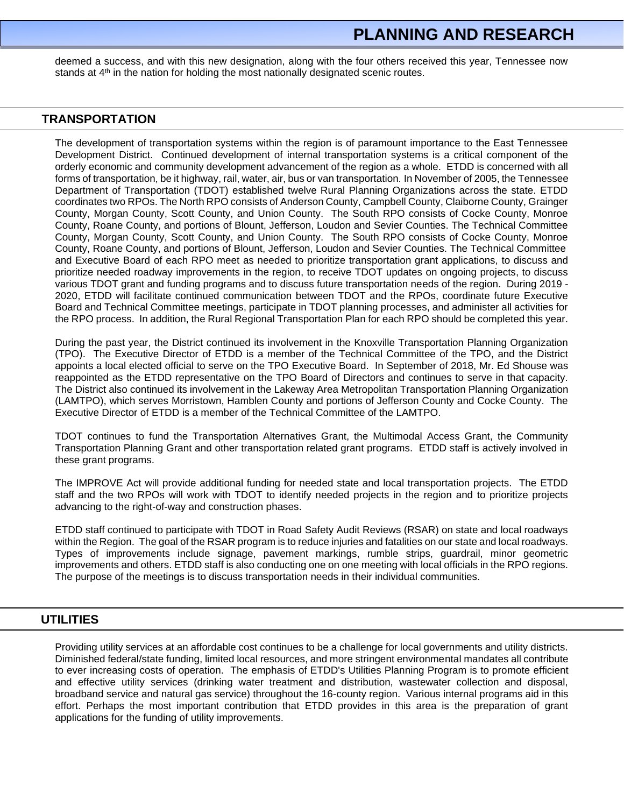# **PLANNING AND RESEARCH**

deemed a success, and with this new designation, along with the four others received this year, Tennessee now stands at  $4<sup>th</sup>$  in the nation for holding the most nationally designated scenic routes.

## **TRANSPORTATION**

The development of transportation systems within the region is of paramount importance to the East Tennessee Development District. Continued development of internal transportation systems is a critical component of the orderly economic and community development advancement of the region as a whole. ETDD is concerned with all forms of transportation, be it highway, rail, water, air, bus or van transportation. In November of 2005, the Tennessee Department of Transportation (TDOT) established twelve Rural Planning Organizations across the state. ETDD coordinates two RPOs. The North RPO consists of Anderson County, Campbell County, Claiborne County, Grainger County, Morgan County, Scott County, and Union County. The South RPO consists of Cocke County, Monroe County, Roane County, and portions of Blount, Jefferson, Loudon and Sevier Counties. The Technical Committee County, Morgan County, Scott County, and Union County. The South RPO consists of Cocke County, Monroe County, Roane County, and portions of Blount, Jefferson, Loudon and Sevier Counties. The Technical Committee and Executive Board of each RPO meet as needed to prioritize transportation grant applications, to discuss and prioritize needed roadway improvements in the region, to receive TDOT updates on ongoing projects, to discuss various TDOT grant and funding programs and to discuss future transportation needs of the region. During 2019 - 2020, ETDD will facilitate continued communication between TDOT and the RPOs, coordinate future Executive Board and Technical Committee meetings, participate in TDOT planning processes, and administer all activities for the RPO process. In addition, the Rural Regional Transportation Plan for each RPO should be completed this year.

During the past year, the District continued its involvement in the Knoxville Transportation Planning Organization (TPO). The Executive Director of ETDD is a member of the Technical Committee of the TPO, and the District appoints a local elected official to serve on the TPO Executive Board. In September of 2018, Mr. Ed Shouse was reappointed as the ETDD representative on the TPO Board of Directors and continues to serve in that capacity. The District also continued its involvement in the Lakeway Area Metropolitan Transportation Planning Organization (LAMTPO), which serves Morristown, Hamblen County and portions of Jefferson County and Cocke County. The Executive Director of ETDD is a member of the Technical Committee of the LAMTPO.

TDOT continues to fund the Transportation Alternatives Grant, the Multimodal Access Grant, the Community Transportation Planning Grant and other transportation related grant programs. ETDD staff is actively involved in these grant programs.

The IMPROVE Act will provide additional funding for needed state and local transportation projects. The ETDD staff and the two RPOs will work with TDOT to identify needed projects in the region and to prioritize projects advancing to the right-of-way and construction phases.

ETDD staff continued to participate with TDOT in Road Safety Audit Reviews (RSAR) on state and local roadways within the Region. The goal of the RSAR program is to reduce injuries and fatalities on our state and local roadways. Types of improvements include signage, pavement markings, rumble strips, guardrail, minor geometric improvements and others. ETDD staff is also conducting one on one meeting with local officials in the RPO regions. The purpose of the meetings is to discuss transportation needs in their individual communities.

## **UTILITIES**

Providing utility services at an affordable cost continues to be a challenge for local governments and utility districts. Diminished federal/state funding, limited local resources, and more stringent environmental mandates all contribute to ever increasing costs of operation. The emphasis of ETDD's Utilities Planning Program is to promote efficient and effective utility services (drinking water treatment and distribution, wastewater collection and disposal, broadband service and natural gas service) throughout the 16-county region. Various internal programs aid in this effort. Perhaps the most important contribution that ETDD provides in this area is the preparation of grant applications for the funding of utility improvements.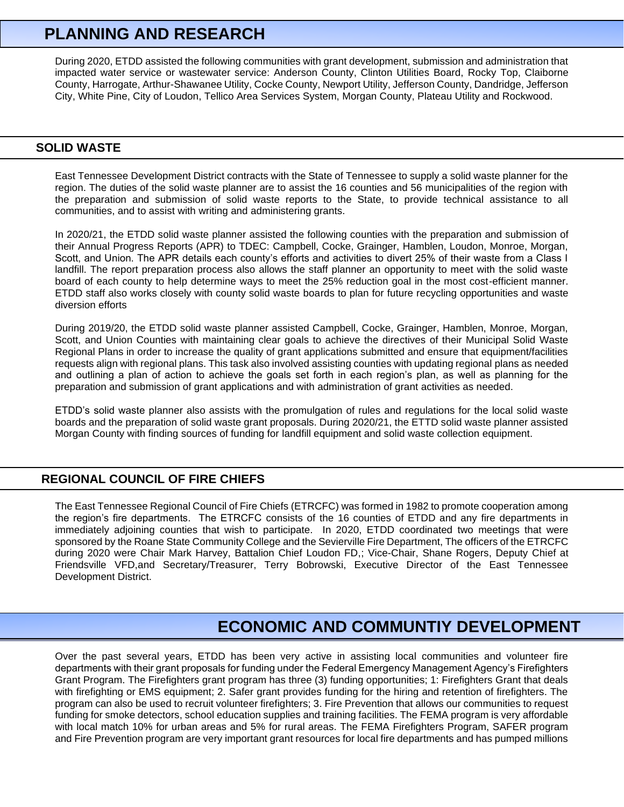# **PLANNING AND RESEARCH**

During 2020, ETDD assisted the following communities with grant development, submission and administration that impacted water service or wastewater service: Anderson County, Clinton Utilities Board, Rocky Top, Claiborne County, Harrogate, Arthur-Shawanee Utility, Cocke County, Newport Utility, Jefferson County, Dandridge, Jefferson City, White Pine, City of Loudon, Tellico Area Services System, Morgan County, Plateau Utility and Rockwood.

# **SOLID WASTE**

East Tennessee Development District contracts with the State of Tennessee to supply a solid waste planner for the region. The duties of the solid waste planner are to assist the 16 counties and 56 municipalities of the region with the preparation and submission of solid waste reports to the State, to provide technical assistance to all communities, and to assist with writing and administering grants.

In 2020/21, the ETDD solid waste planner assisted the following counties with the preparation and submission of their Annual Progress Reports (APR) to TDEC: Campbell, Cocke, Grainger, Hamblen, Loudon, Monroe, Morgan, Scott, and Union. The APR details each county's efforts and activities to divert 25% of their waste from a Class I landfill. The report preparation process also allows the staff planner an opportunity to meet with the solid waste board of each county to help determine ways to meet the 25% reduction goal in the most cost-efficient manner. ETDD staff also works closely with county solid waste boards to plan for future recycling opportunities and waste diversion efforts

During 2019/20, the ETDD solid waste planner assisted Campbell, Cocke, Grainger, Hamblen, Monroe, Morgan, Scott, and Union Counties with maintaining clear goals to achieve the directives of their Municipal Solid Waste Regional Plans in order to increase the quality of grant applications submitted and ensure that equipment/facilities requests align with regional plans. This task also involved assisting counties with updating regional plans as needed and outlining a plan of action to achieve the goals set forth in each region's plan, as well as planning for the preparation and submission of grant applications and with administration of grant activities as needed.

ETDD's solid waste planner also assists with the promulgation of rules and regulations for the local solid waste boards and the preparation of solid waste grant proposals. During 2020/21, the ETTD solid waste planner assisted Morgan County with finding sources of funding for landfill equipment and solid waste collection equipment.

## **REGIONAL COUNCIL OF FIRE CHIEFS**

The East Tennessee Regional Council of Fire Chiefs (ETRCFC) was formed in 1982 to promote cooperation among the region's fire departments. The ETRCFC consists of the 16 counties of ETDD and any fire departments in immediately adjoining counties that wish to participate. In 2020, ETDD coordinated two meetings that were sponsored by the Roane State Community College and the Sevierville Fire Department, The officers of the ETRCFC during 2020 were Chair Mark Harvey, Battalion Chief Loudon FD,; Vice-Chair, Shane Rogers, Deputy Chief at Friendsville VFD,and Secretary/Treasurer, Terry Bobrowski, Executive Director of the East Tennessee Development District.

# **ECONOMIC AND COMMUNTIY DEVELOPMENT**

Over the past several years, ETDD has been very active in assisting local communities and volunteer fire departments with their grant proposals for funding under the Federal Emergency Management Agency's Firefighters Grant Program. The Firefighters grant program has three (3) funding opportunities; 1: Firefighters Grant that deals with firefighting or EMS equipment; 2. Safer grant provides funding for the hiring and retention of firefighters. The program can also be used to recruit volunteer firefighters; 3. Fire Prevention that allows our communities to request funding for smoke detectors, school education supplies and training facilities. The FEMA program is very affordable with local match 10% for urban areas and 5% for rural areas. The FEMA Firefighters Program, SAFER program and Fire Prevention program are very important grant resources for local fire departments and has pumped millions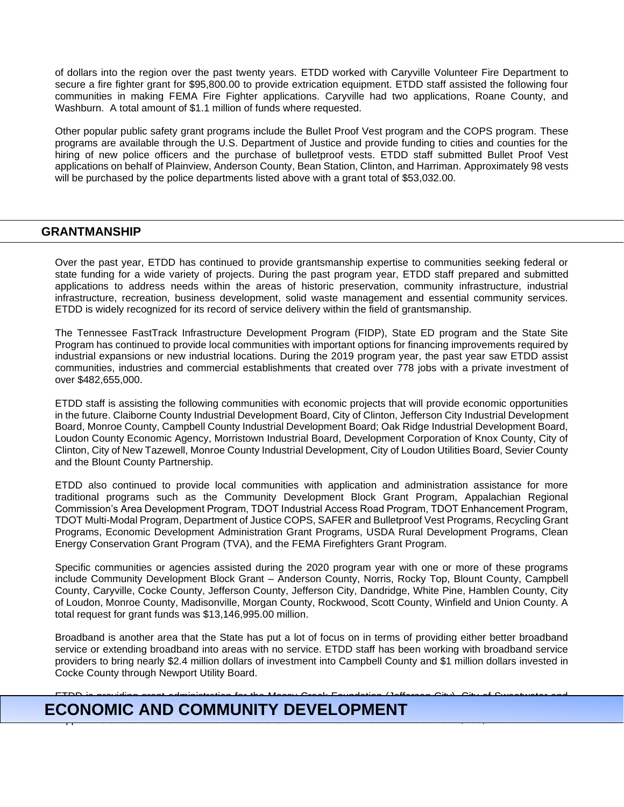of dollars into the region over the past twenty years. ETDD worked with Caryville Volunteer Fire Department to secure a fire fighter grant for \$95,800.00 to provide extrication equipment. ETDD staff assisted the following four communities in making FEMA Fire Fighter applications. Caryville had two applications, Roane County, and Washburn. A total amount of \$1.1 million of funds where requested.

Other popular public safety grant programs include the Bullet Proof Vest program and the COPS program. These programs are available through the U.S. Department of Justice and provide funding to cities and counties for the hiring of new police officers and the purchase of bulletproof vests. ETDD staff submitted Bullet Proof Vest applications on behalf of Plainview, Anderson County, Bean Station, Clinton, and Harriman. Approximately 98 vests will be purchased by the police departments listed above with a grant total of \$53,032.00.

## **GRANTMANSHIP**

Over the past year, ETDD has continued to provide grantsmanship expertise to communities seeking federal or state funding for a wide variety of projects. During the past program year, ETDD staff prepared and submitted applications to address needs within the areas of historic preservation, community infrastructure, industrial infrastructure, recreation, business development, solid waste management and essential community services. ETDD is widely recognized for its record of service delivery within the field of grantsmanship.

The Tennessee FastTrack Infrastructure Development Program (FIDP), State ED program and the State Site Program has continued to provide local communities with important options for financing improvements required by industrial expansions or new industrial locations. During the 2019 program year, the past year saw ETDD assist communities, industries and commercial establishments that created over 778 jobs with a private investment of over \$482,655,000.

ETDD staff is assisting the following communities with economic projects that will provide economic opportunities in the future. Claiborne County Industrial Development Board, City of Clinton, Jefferson City Industrial Development Board, Monroe County, Campbell County Industrial Development Board; Oak Ridge Industrial Development Board, Loudon County Economic Agency, Morristown Industrial Board, Development Corporation of Knox County, City of Clinton, City of New Tazewell, Monroe County Industrial Development, City of Loudon Utilities Board, Sevier County and the Blount County Partnership.

ETDD also continued to provide local communities with application and administration assistance for more traditional programs such as the Community Development Block Grant Program, Appalachian Regional Commission's Area Development Program, TDOT Industrial Access Road Program, TDOT Enhancement Program, TDOT Multi-Modal Program, Department of Justice COPS, SAFER and Bulletproof Vest Programs, Recycling Grant Programs, Economic Development Administration Grant Programs, USDA Rural Development Programs, Clean Energy Conservation Grant Program (TVA), and the FEMA Firefighters Grant Program.

Specific communities or agencies assisted during the 2020 program year with one or more of these programs include Community Development Block Grant – Anderson County, Norris, Rocky Top, Blount County, Campbell County, Caryville, Cocke County, Jefferson County, Jefferson City, Dandridge, White Pine, Hamblen County, City of Loudon, Monroe County, Madisonville, Morgan County, Rockwood, Scott County, Winfield and Union County. A total request for grant funds was \$13,146,995.00 million.

Broadband is another area that the State has put a lot of focus on in terms of providing either better broadband service or extending broadband into areas with no service. ETDD staff has been working with broadband service providers to bring nearly \$2.4 million dollars of investment into Campbell County and \$1 million dollars invested in Cocke County through Newport Utility Board.

#### ETDD is providing grant administration for the Mossy Creek Foundation (Jefferson City), City of Sweetwater and **ECONOMIC AND COMMUNITY DEVELOPMENT This grants. This grants is a focused in the focused initiative to the focus** support the economic and revitalization efforts of downtown areas. The total awards were  $300$ .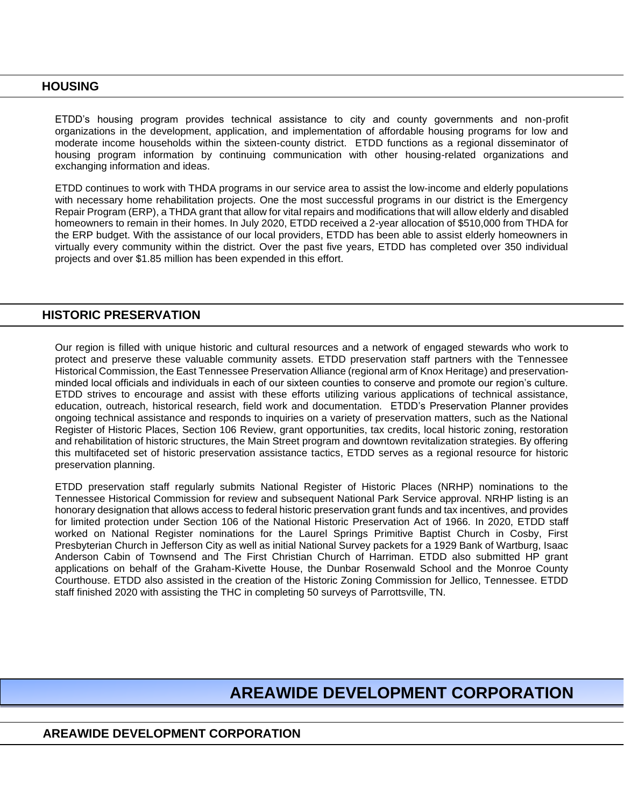# **HOUSING**

ETDD's housing program provides technical assistance to city and county governments and non-profit organizations in the development, application, and implementation of affordable housing programs for low and moderate income households within the sixteen-county district. ETDD functions as a regional disseminator of housing program information by continuing communication with other housing-related organizations and exchanging information and ideas.

ETDD continues to work with THDA programs in our service area to assist the low-income and elderly populations with necessary home rehabilitation projects. One the most successful programs in our district is the Emergency Repair Program (ERP), a THDA grant that allow for vital repairs and modifications that will allow elderly and disabled homeowners to remain in their homes. In July 2020, ETDD received a 2-year allocation of \$510,000 from THDA for the ERP budget. With the assistance of our local providers, ETDD has been able to assist elderly homeowners in virtually every community within the district. Over the past five years, ETDD has completed over 350 individual projects and over \$1.85 million has been expended in this effort.

## **HISTORIC PRESERVATION**

Our region is filled with unique historic and cultural resources and a network of engaged stewards who work to protect and preserve these valuable community assets. ETDD preservation staff partners with the Tennessee Historical Commission, the East Tennessee Preservation Alliance (regional arm of Knox Heritage) and preservationminded local officials and individuals in each of our sixteen counties to conserve and promote our region's culture. ETDD strives to encourage and assist with these efforts utilizing various applications of technical assistance, education, outreach, historical research, field work and documentation. ETDD's Preservation Planner provides ongoing technical assistance and responds to inquiries on a variety of preservation matters, such as the National Register of Historic Places, Section 106 Review, grant opportunities, tax credits, local historic zoning, restoration and rehabilitation of historic structures, the Main Street program and downtown revitalization strategies. By offering this multifaceted set of historic preservation assistance tactics, ETDD serves as a regional resource for historic preservation planning.

ETDD preservation staff regularly submits National Register of Historic Places (NRHP) nominations to the Tennessee Historical Commission for review and subsequent National Park Service approval. NRHP listing is an honorary designation that allows access to federal historic preservation grant funds and tax incentives, and provides for limited protection under Section 106 of the National Historic Preservation Act of 1966. In 2020, ETDD staff worked on National Register nominations for the Laurel Springs Primitive Baptist Church in Cosby, First Presbyterian Church in Jefferson City as well as initial National Survey packets for a 1929 Bank of Wartburg, Isaac Anderson Cabin of Townsend and The First Christian Church of Harriman. ETDD also submitted HP grant applications on behalf of the Graham-Kivette House, the Dunbar Rosenwald School and the Monroe County Courthouse. ETDD also assisted in the creation of the Historic Zoning Commission for Jellico, Tennessee. ETDD staff finished 2020 with assisting the THC in completing 50 surveys of Parrottsville, TN.

# **AREAWIDE DEVELOPMENT CORPORATION**

# **AREAWIDE DEVELOPMENT CORPORATION**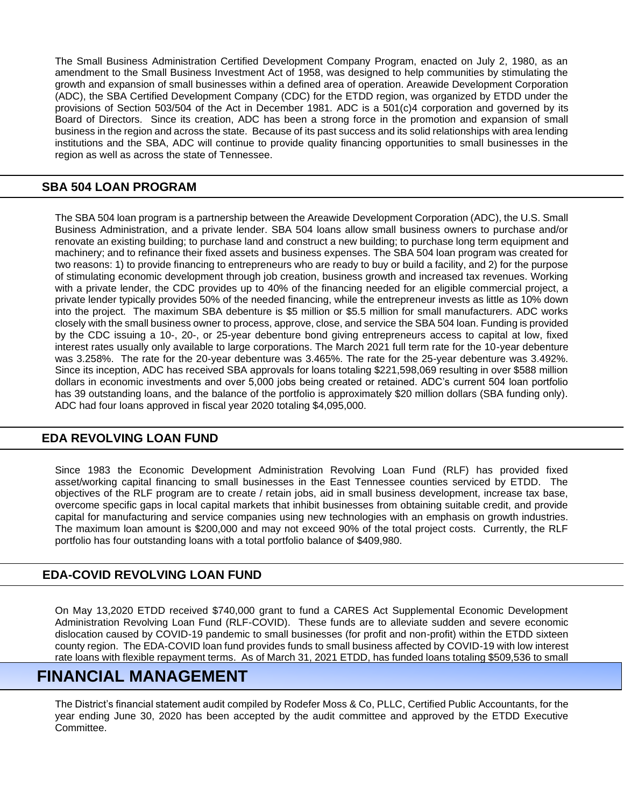The Small Business Administration Certified Development Company Program, enacted on July 2, 1980, as an amendment to the Small Business Investment Act of 1958, was designed to help communities by stimulating the growth and expansion of small businesses within a defined area of operation. Areawide Development Corporation (ADC), the SBA Certified Development Company (CDC) for the ETDD region, was organized by ETDD under the provisions of Section 503/504 of the Act in December 1981. ADC is a 501(c)4 corporation and governed by its Board of Directors. Since its creation, ADC has been a strong force in the promotion and expansion of small business in the region and across the state. Because of its past success and its solid relationships with area lending institutions and the SBA, ADC will continue to provide quality financing opportunities to small businesses in the region as well as across the state of Tennessee.

# **SBA 504 LOAN PROGRAM**

The SBA 504 loan program is a partnership between the Areawide Development Corporation (ADC), the U.S. Small Business Administration, and a private lender. SBA 504 loans allow small business owners to purchase and/or renovate an existing building; to purchase land and construct a new building; to purchase long term equipment and machinery; and to refinance their fixed assets and business expenses. The SBA 504 loan program was created for two reasons: 1) to provide financing to entrepreneurs who are ready to buy or build a facility, and 2) for the purpose of stimulating economic development through job creation, business growth and increased tax revenues. Working with a private lender, the CDC provides up to 40% of the financing needed for an eligible commercial project, a private lender typically provides 50% of the needed financing, while the entrepreneur invests as little as 10% down into the project. The maximum SBA debenture is \$5 million or \$5.5 million for small manufacturers. ADC works closely with the small business owner to process, approve, close, and service the SBA 504 loan. Funding is provided by the CDC issuing a 10-, 20-, or 25-year debenture bond giving entrepreneurs access to capital at low, fixed interest rates usually only available to large corporations. The March 2021 full term rate for the 10-year debenture was 3.258%. The rate for the 20-year debenture was 3.465%. The rate for the 25-year debenture was 3.492%. Since its inception, ADC has received SBA approvals for loans totaling \$221,598,069 resulting in over \$588 million dollars in economic investments and over 5,000 jobs being created or retained. ADC's current 504 loan portfolio has 39 outstanding loans, and the balance of the portfolio is approximately \$20 million dollars (SBA funding only). ADC had four loans approved in fiscal year 2020 totaling \$4,095,000.

# **EDA REVOLVING LOAN FUND**

Since 1983 the Economic Development Administration Revolving Loan Fund (RLF) has provided fixed asset/working capital financing to small businesses in the East Tennessee counties serviced by ETDD. The objectives of the RLF program are to create / retain jobs, aid in small business development, increase tax base, overcome specific gaps in local capital markets that inhibit businesses from obtaining suitable credit, and provide capital for manufacturing and service companies using new technologies with an emphasis on growth industries. The maximum loan amount is \$200,000 and may not exceed 90% of the total project costs. Currently, the RLF portfolio has four outstanding loans with a total portfolio balance of \$409,980.

# **EDA-COVID REVOLVING LOAN FUND**

On May 13,2020 ETDD received \$740,000 grant to fund a CARES Act Supplemental Economic Development Administration Revolving Loan Fund (RLF-COVID). These funds are to alleviate sudden and severe economic dislocation caused by COVID-19 pandemic to small businesses (for profit and non-profit) within the ETDD sixteen county region. The EDA-COVID loan fund provides funds to small business affected by COVID-19 with low interest rate loans with flexible repayment terms. As of March 31, 2021 ETDD, has funded loans totaling \$509,536 to small

#### $\mathbf{L}$ businesses impacted by COVID-19 and has loan approvals of an additional  $\mathbf{L}$ **FINANCIAL MANAGEMENT**

The District's financial statement audit compiled by Rodefer Moss & Co, PLLC, Certified Public Accountants, for the year ending June 30, 2020 has been accepted by the audit committee and approved by the ETDD Executive Committee.